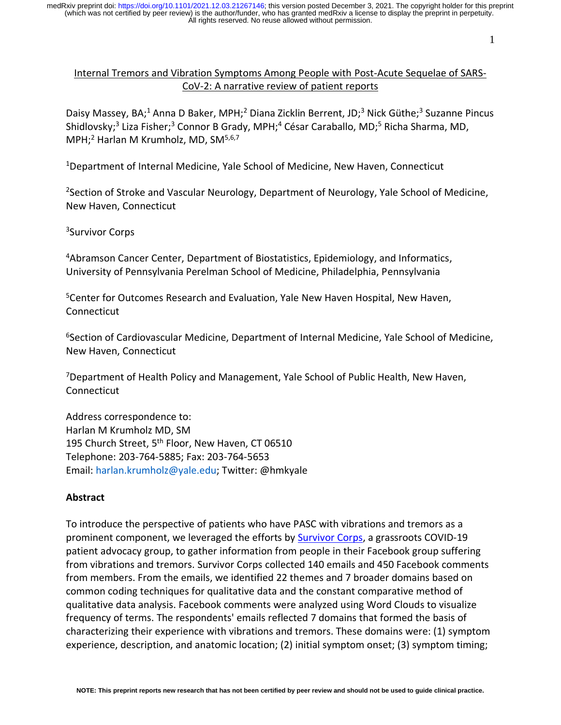1

## Internal Tremors and Vibration Symptoms Among People with Post-Acute Sequelae of SARS-CoV-2: A narrative review of patient reports

Daisy Massey, BA;<sup>1</sup> Anna D Baker, MPH;<sup>2</sup> Diana Zicklin Berrent, JD;<sup>3</sup> Nick Güthe;<sup>3</sup> Suzanne Pincus Shidlovsky;<sup>3</sup> Liza Fisher;<sup>3</sup> Connor B Grady, MPH;<sup>4</sup> César Caraballo, MD;<sup>5</sup> Richa Sharma, MD, MPH:<sup>2</sup> Harlan M Krumholz, MD, SM<sup>5,6,7</sup>

<sup>1</sup>Department of Internal Medicine, Yale School of Medicine, New Haven, Connecticut

<sup>2</sup>Section of Stroke and Vascular Neurology, Department of Neurology, Yale School of Medicine, New Haven, Connecticut

<sup>3</sup>Survivor Corps

<sup>4</sup>Abramson Cancer Center, Department of Biostatistics, Epidemiology, and Informatics, University of Pennsylvania Perelman School of Medicine, Philadelphia, Pennsylvania

<sup>5</sup>Center for Outcomes Research and Evaluation, Yale New Haven Hospital, New Haven, **Connecticut** 

<sup>6</sup>Section of Cardiovascular Medicine, Department of Internal Medicine, Yale School of Medicine, New Haven, Connecticut

<sup>7</sup>Department of Health Policy and Management, Yale School of Public Health, New Haven, **Connecticut** 

Address correspondence to: Harlan M Krumholz MD, SM 195 Church Street, 5<sup>th</sup> Floor, New Haven, CT 06510 Telephone: 203-764-5885; Fax: 203-764-5653 Email: harlan.krumholz@yale.edu; Twitter: @hmkyale

### **Abstract**

To introduce the perspective of patients who have PASC with vibrations and tremors as a prominent component, we leveraged the efforts by [Survivor Corps,](https://www.survivorcorps.com/) a grassroots COVID-19 patient advocacy group, to gather information from people in their Facebook group suffering from vibrations and tremors. Survivor Corps collected 140 emails and 450 Facebook comments from members. From the emails, we identified 22 themes and 7 broader domains based on common coding techniques for qualitative data and the constant comparative method of qualitative data analysis. Facebook comments were analyzed using Word Clouds to visualize frequency of terms. The respondents' emails reflected 7 domains that formed the basis of characterizing their experience with vibrations and tremors. These domains were: (1) symptom experience, description, and anatomic location; (2) initial symptom onset; (3) symptom timing;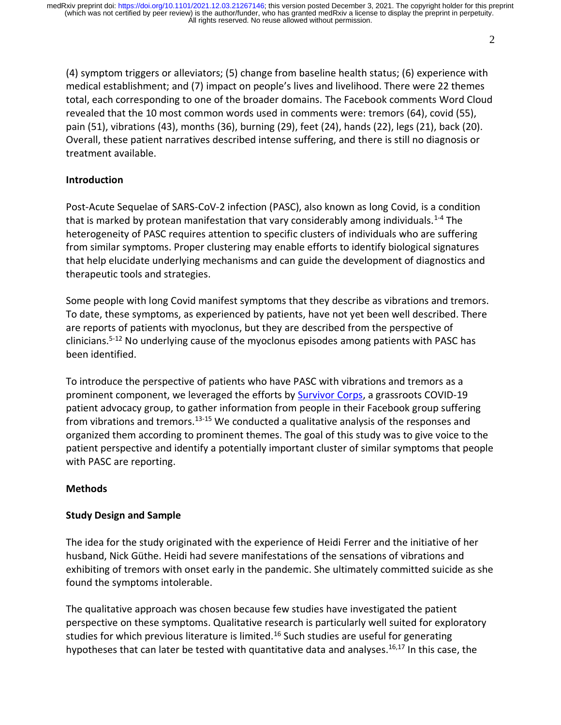(4) symptom triggers or alleviators; (5) change from baseline health status; (6) experience with medical establishment; and (7) impact on people's lives and livelihood. There were 22 themes total, each corresponding to one of the broader domains. The Facebook comments Word Cloud revealed that the 10 most common words used in comments were: tremors (64), covid (55), pain (51), vibrations (43), months (36), burning (29), feet (24), hands (22), legs (21), back (20). Overall, these patient narratives described intense suffering, and there is still no diagnosis or treatment available.

### **Introduction**

Post-Acute Sequelae of SARS-CoV-2 infection (PASC), also known as long Covid, is a condition that is marked by protean manifestation that vary considerably among individuals.<sup>1-4</sup> The heterogeneity of PASC requires attention to specific clusters of individuals who are suffering from similar symptoms. Proper clustering may enable efforts to identify biological signatures that help elucidate underlying mechanisms and can guide the development of diagnostics and therapeutic tools and strategies.

Some people with long Covid manifest symptoms that they describe as vibrations and tremors. To date, these symptoms, as experienced by patients, have not yet been well described. There are reports of patients with myoclonus, but they are described from the perspective of clinicians.5-12 No underlying cause of the myoclonus episodes among patients with PASC has been identified.

To introduce the perspective of patients who have PASC with vibrations and tremors as a prominent component, we leveraged the efforts by [Survivor Corps,](https://www.survivorcorps.com/) a grassroots COVID-19 patient advocacy group, to gather information from people in their Facebook group suffering from vibrations and tremors.13-15 We conducted a qualitative analysis of the responses and organized them according to prominent themes. The goal of this study was to give voice to the patient perspective and identify a potentially important cluster of similar symptoms that people with PASC are reporting.

## **Methods**

## **Study Design and Sample**

The idea for the study originated with the experience of Heidi Ferrer and the initiative of her husband, Nick Güthe. Heidi had severe manifestations of the sensations of vibrations and exhibiting of tremors with onset early in the pandemic. She ultimately committed suicide as she found the symptoms intolerable.

The qualitative approach was chosen because few studies have investigated the patient perspective on these symptoms. Qualitative research is particularly well suited for exploratory studies for which previous literature is limited.<sup>16</sup> Such studies are useful for generating hypotheses that can later be tested with quantitative data and analyses.<sup>16,17</sup> In this case, the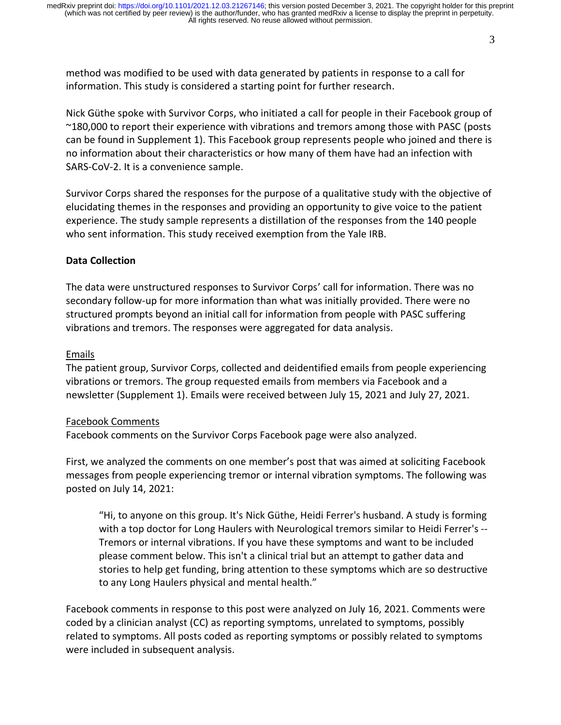method was modified to be used with data generated by patients in response to a call for information. This study is considered a starting point for further research.

Nick Güthe spoke with Survivor Corps, who initiated a call for people in their Facebook group of ~180,000 to report their experience with vibrations and tremors among those with PASC (posts can be found in Supplement 1). This Facebook group represents people who joined and there is no information about their characteristics or how many of them have had an infection with SARS-CoV-2. It is a convenience sample.

Survivor Corps shared the responses for the purpose of a qualitative study with the objective of elucidating themes in the responses and providing an opportunity to give voice to the patient experience. The study sample represents a distillation of the responses from the 140 people who sent information. This study received exemption from the Yale IRB.

#### **Data Collection**

The data were unstructured responses to Survivor Corps' call for information. There was no secondary follow-up for more information than what was initially provided. There were no structured prompts beyond an initial call for information from people with PASC suffering vibrations and tremors. The responses were aggregated for data analysis.

#### Emails

The patient group, Survivor Corps, collected and deidentified emails from people experiencing vibrations or tremors. The group requested emails from members via Facebook and a newsletter (Supplement 1). Emails were received between July 15, 2021 and July 27, 2021.

#### Facebook Comments

Facebook comments on the Survivor Corps Facebook page were also analyzed.

First, we analyzed the comments on one member's post that was aimed at soliciting Facebook messages from people experiencing tremor or internal vibration symptoms. The following was posted on July 14, 2021:

"Hi, to anyone on this group. It's Nick Güthe, Heidi Ferrer's husband. A study is forming with a top doctor for Long Haulers with Neurological tremors similar to Heidi Ferrer's -- Tremors or internal vibrations. If you have these symptoms and want to be included please comment below. This isn't a clinical trial but an attempt to gather data and stories to help get funding, bring attention to these symptoms which are so destructive to any Long Haulers physical and mental health."

Facebook comments in response to this post were analyzed on July 16, 2021. Comments were coded by a clinician analyst (CC) as reporting symptoms, unrelated to symptoms, possibly related to symptoms. All posts coded as reporting symptoms or possibly related to symptoms were included in subsequent analysis.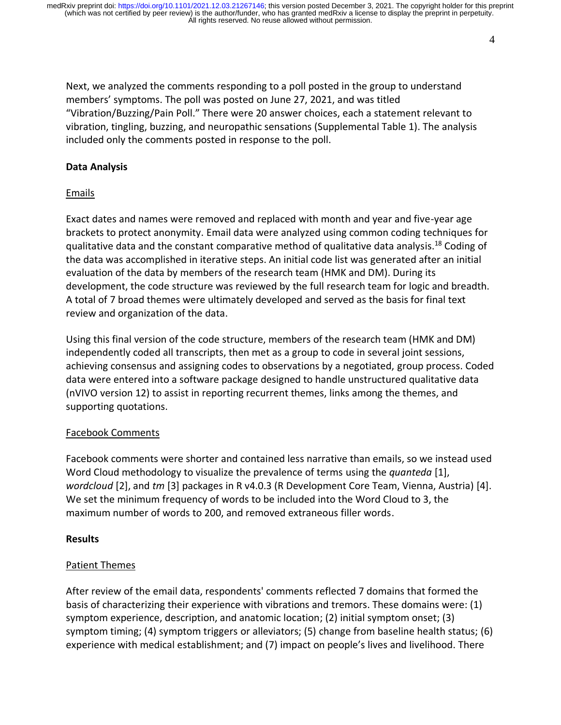4

Next, we analyzed the comments responding to a poll posted in the group to understand members' symptoms. The poll was posted on June 27, 2021, and was titled "Vibration/Buzzing/Pain Poll." There were 20 answer choices, each a statement relevant to vibration, tingling, buzzing, and neuropathic sensations (Supplemental Table 1). The analysis included only the comments posted in response to the poll.

#### **Data Analysis**

#### Emails

Exact dates and names were removed and replaced with month and year and five-year age brackets to protect anonymity. Email data were analyzed using common coding techniques for qualitative data and the constant comparative method of qualitative data analysis.<sup>18</sup> Coding of the data was accomplished in iterative steps. An initial code list was generated after an initial evaluation of the data by members of the research team (HMK and DM). During its development, the code structure was reviewed by the full research team for logic and breadth. A total of 7 broad themes were ultimately developed and served as the basis for final text review and organization of the data.

Using this final version of the code structure, members of the research team (HMK and DM) independently coded all transcripts, then met as a group to code in several joint sessions, achieving consensus and assigning codes to observations by a negotiated, group process. Coded data were entered into a software package designed to handle unstructured qualitative data (nVIVO version 12) to assist in reporting recurrent themes, links among the themes, and supporting quotations.

#### Facebook Comments

Facebook comments were shorter and contained less narrative than emails, so we instead used Word Cloud methodology to visualize the prevalence of terms using the *quanteda* [1], *wordcloud* [2], and *tm* [3] packages in R v4.0.3 (R Development Core Team, Vienna, Austria) [4]. We set the minimum frequency of words to be included into the Word Cloud to 3, the maximum number of words to 200, and removed extraneous filler words.

#### **Results**

### Patient Themes

After review of the email data, respondents' comments reflected 7 domains that formed the basis of characterizing their experience with vibrations and tremors. These domains were: (1) symptom experience, description, and anatomic location; (2) initial symptom onset; (3) symptom timing; (4) symptom triggers or alleviators; (5) change from baseline health status; (6) experience with medical establishment; and (7) impact on people's lives and livelihood. There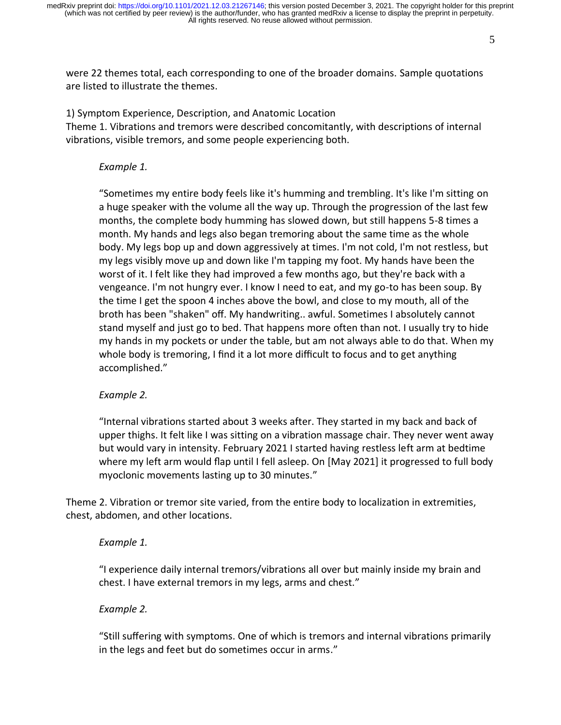5

were 22 themes total, each corresponding to one of the broader domains. Sample quotations are listed to illustrate the themes.

1) Symptom Experience, Description, and Anatomic Location Theme 1. Vibrations and tremors were described concomitantly, with descriptions of internal vibrations, visible tremors, and some people experiencing both.

### *Example 1.*

"Sometimes my entire body feels like it's humming and trembling. It's like I'm sitting on a huge speaker with the volume all the way up. Through the progression of the last few months, the complete body humming has slowed down, but still happens 5-8 times a month. My hands and legs also began tremoring about the same time as the whole body. My legs bop up and down aggressively at times. I'm not cold, I'm not restless, but my legs visibly move up and down like I'm tapping my foot. My hands have been the worst of it. I felt like they had improved a few months ago, but they're back with a vengeance. I'm not hungry ever. I know I need to eat, and my go-to has been soup. By the time I get the spoon 4 inches above the bowl, and close to my mouth, all of the broth has been "shaken" off. My handwriting.. awful. Sometimes I absolutely cannot stand myself and just go to bed. That happens more often than not. I usually try to hide my hands in my pockets or under the table, but am not always able to do that. When my whole body is tremoring, I find it a lot more difficult to focus and to get anything accomplished."

## *Example 2.*

"Internal vibrations started about 3 weeks after. They started in my back and back of upper thighs. It felt like I was sitting on a vibration massage chair. They never went away but would vary in intensity. February 2021 I started having restless left arm at bedtime where my left arm would flap until I fell asleep. On [May 2021] it progressed to full body myoclonic movements lasting up to 30 minutes."

Theme 2. Vibration or tremor site varied, from the entire body to localization in extremities, chest, abdomen, and other locations.

### *Example 1.*

"I experience daily internal tremors/vibrations all over but mainly inside my brain and chest. I have external tremors in my legs, arms and chest."

## *Example 2.*

"Still suffering with symptoms. One of which is tremors and internal vibrations primarily in the legs and feet but do sometimes occur in arms."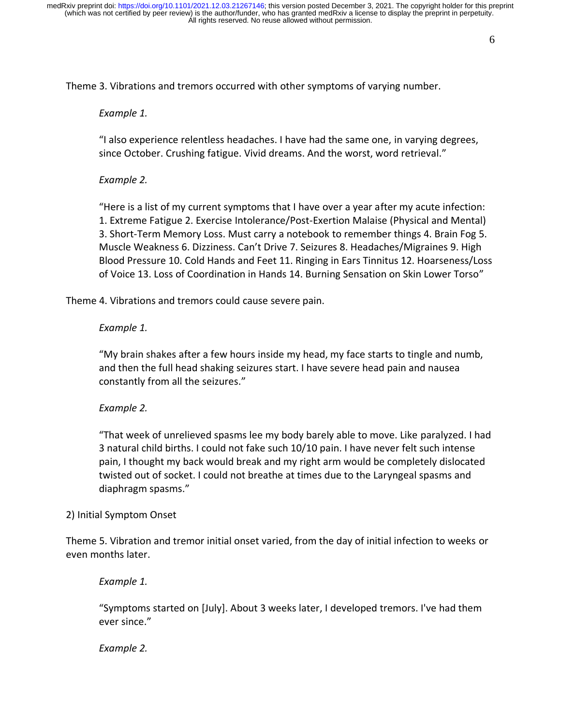Theme 3. Vibrations and tremors occurred with other symptoms of varying number.

#### *Example 1.*

"I also experience relentless headaches. I have had the same one, in varying degrees, since October. Crushing fatigue. Vivid dreams. And the worst, word retrieval."

#### *Example 2.*

"Here is a list of my current symptoms that I have over a year after my acute infection: 1. Extreme Fatigue 2. Exercise Intolerance/Post-Exertion Malaise (Physical and Mental) 3. Short-Term Memory Loss. Must carry a notebook to remember things 4. Brain Fog 5. Muscle Weakness 6. Dizziness. Can't Drive 7. Seizures 8. Headaches/Migraines 9. High Blood Pressure 10. Cold Hands and Feet 11. Ringing in Ears Tinnitus 12. Hoarseness/Loss of Voice 13. Loss of Coordination in Hands 14. Burning Sensation on Skin Lower Torso"

Theme 4. Vibrations and tremors could cause severe pain.

#### *Example 1.*

"My brain shakes after a few hours inside my head, my face starts to tingle and numb, and then the full head shaking seizures start. I have severe head pain and nausea constantly from all the seizures."

#### *Example 2.*

"That week of unrelieved spasms lee my body barely able to move. Like paralyzed. I had 3 natural child births. I could not fake such 10/10 pain. I have never felt such intense pain, I thought my back would break and my right arm would be completely dislocated twisted out of socket. I could not breathe at times due to the Laryngeal spasms and diaphragm spasms."

#### 2) Initial Symptom Onset

Theme 5. Vibration and tremor initial onset varied, from the day of initial infection to weeks or even months later.

### *Example 1.*

"Symptoms started on [July]. About 3 weeks later, I developed tremors. I've had them ever since."

#### *Example 2.*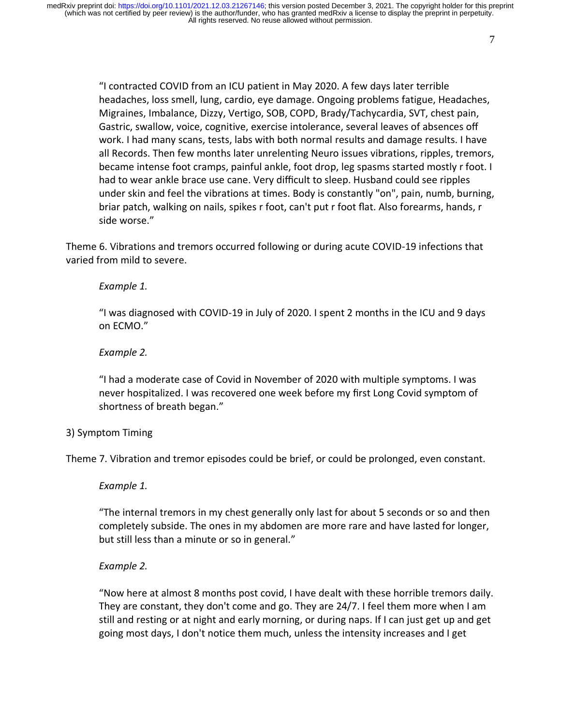"I contracted COVID from an ICU patient in May 2020. A few days later terrible headaches, loss smell, lung, cardio, eye damage. Ongoing problems fatigue, Headaches, Migraines, Imbalance, Dizzy, Vertigo, SOB, COPD, Brady/Tachycardia, SVT, chest pain, Gastric, swallow, voice, cognitive, exercise intolerance, several leaves of absences off work. I had many scans, tests, labs with both normal results and damage results. I have all Records. Then few months later unrelenting Neuro issues vibrations, ripples, tremors, became intense foot cramps, painful ankle, foot drop, leg spasms started mostly r foot. I had to wear ankle brace use cane. Very difficult to sleep. Husband could see ripples under skin and feel the vibrations at times. Body is constantly "on", pain, numb, burning, briar patch, walking on nails, spikes r foot, can't put r foot flat. Also forearms, hands, r side worse."

Theme 6. Vibrations and tremors occurred following or during acute COVID-19 infections that varied from mild to severe.

### *Example 1.*

"I was diagnosed with COVID-19 in July of 2020. I spent 2 months in the ICU and 9 days on ECMO."

## *Example 2.*

"I had a moderate case of Covid in November of 2020 with multiple symptoms. I was never hospitalized. I was recovered one week before my first Long Covid symptom of shortness of breath began."

## 3) Symptom Timing

Theme 7. Vibration and tremor episodes could be brief, or could be prolonged, even constant.

### *Example 1.*

"The internal tremors in my chest generally only last for about 5 seconds or so and then completely subside. The ones in my abdomen are more rare and have lasted for longer, but still less than a minute or so in general."

### *Example 2.*

"Now here at almost 8 months post covid, I have dealt with these horrible tremors daily. They are constant, they don't come and go. They are 24/7. I feel them more when I am still and resting or at night and early morning, or during naps. If I can just get up and get going most days, I don't notice them much, unless the intensity increases and I get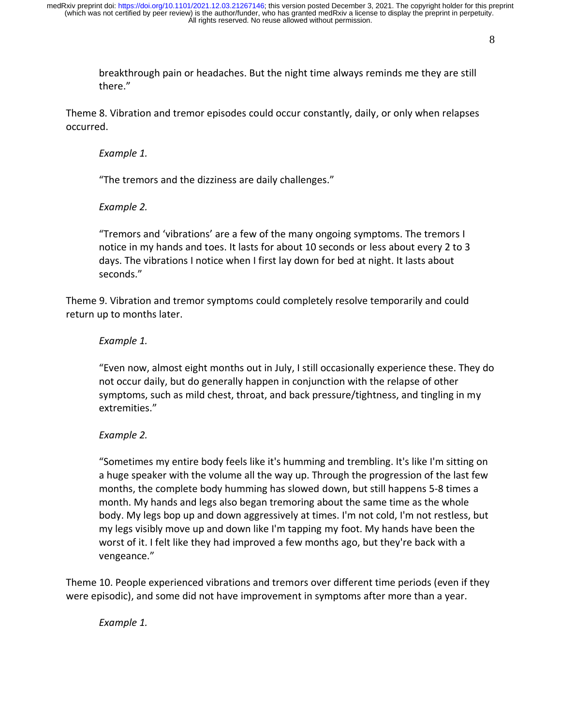breakthrough pain or headaches. But the night time always reminds me they are still there."

Theme 8. Vibration and tremor episodes could occur constantly, daily, or only when relapses occurred.

#### *Example 1.*

"The tremors and the dizziness are daily challenges."

*Example 2.*

"Tremors and 'vibrations' are a few of the many ongoing symptoms. The tremors I notice in my hands and toes. It lasts for about 10 seconds or less about every 2 to 3 days. The vibrations I notice when I first lay down for bed at night. It lasts about seconds."

Theme 9. Vibration and tremor symptoms could completely resolve temporarily and could return up to months later.

#### *Example 1.*

"Even now, almost eight months out in July, I still occasionally experience these. They do not occur daily, but do generally happen in conjunction with the relapse of other symptoms, such as mild chest, throat, and back pressure/tightness, and tingling in my extremities."

#### *Example 2.*

"Sometimes my entire body feels like it's humming and trembling. It's like I'm sitting on a huge speaker with the volume all the way up. Through the progression of the last few months, the complete body humming has slowed down, but still happens 5-8 times a month. My hands and legs also began tremoring about the same time as the whole body. My legs bop up and down aggressively at times. I'm not cold, I'm not restless, but my legs visibly move up and down like I'm tapping my foot. My hands have been the worst of it. I felt like they had improved a few months ago, but they're back with a vengeance."

Theme 10. People experienced vibrations and tremors over different time periods (even if they were episodic), and some did not have improvement in symptoms after more than a year.

*Example 1.*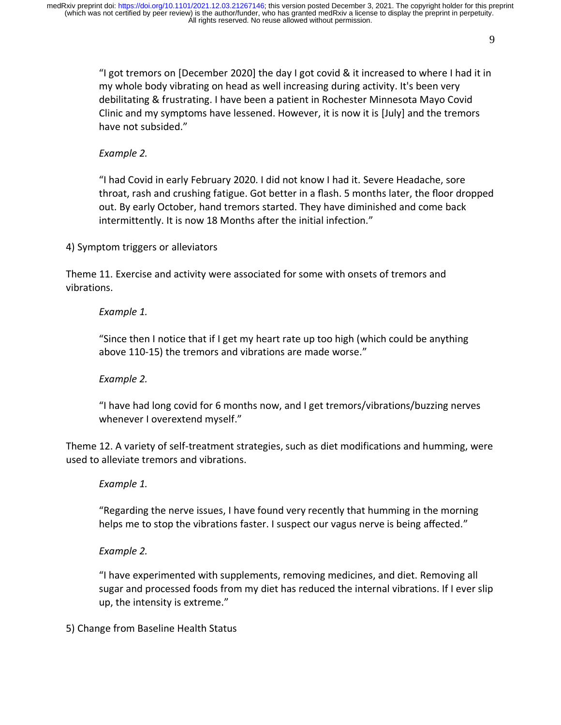"I got tremors on [December 2020] the day I got covid & it increased to where I had it in my whole body vibrating on head as well increasing during activity. It's been very debilitating & frustrating. I have been a patient in Rochester Minnesota Mayo Covid Clinic and my symptoms have lessened. However, it is now it is [July] and the tremors have not subsided."

## *Example 2.*

"I had Covid in early February 2020. I did not know I had it. Severe Headache, sore throat, rash and crushing fatigue. Got better in a flash. 5 months later, the floor dropped out. By early October, hand tremors started. They have diminished and come back intermittently. It is now 18 Months after the initial infection."

4) Symptom triggers or alleviators

Theme 11. Exercise and activity were associated for some with onsets of tremors and vibrations.

## *Example 1.*

"Since then I notice that if I get my heart rate up too high (which could be anything above 110-15) the tremors and vibrations are made worse."

## *Example 2.*

"I have had long covid for 6 months now, and I get tremors/vibrations/buzzing nerves whenever I overextend myself."

Theme 12. A variety of self-treatment strategies, such as diet modifications and humming, were used to alleviate tremors and vibrations.

### *Example 1.*

"Regarding the nerve issues, I have found very recently that humming in the morning helps me to stop the vibrations faster. I suspect our vagus nerve is being affected."

### *Example 2.*

"I have experimented with supplements, removing medicines, and diet. Removing all sugar and processed foods from my diet has reduced the internal vibrations. If I ever slip up, the intensity is extreme."

5) Change from Baseline Health Status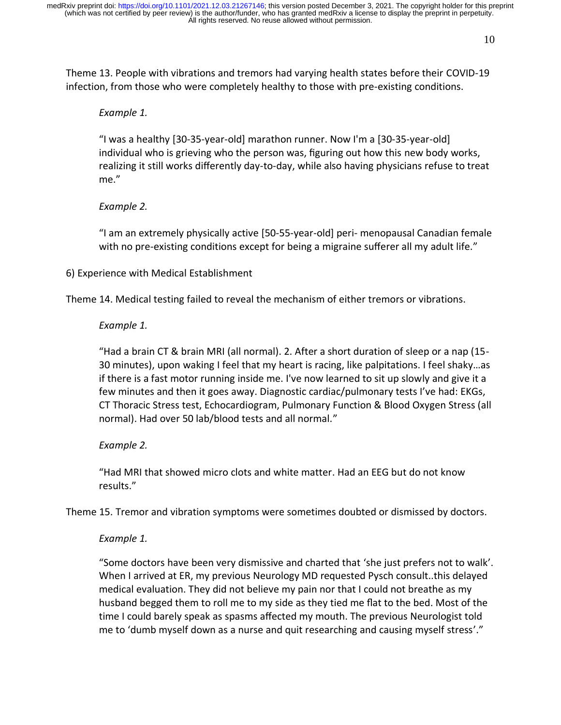10

Theme 13. People with vibrations and tremors had varying health states before their COVID-19 infection, from those who were completely healthy to those with pre-existing conditions.

#### *Example 1.*

"I was a healthy [30-35-year-old] marathon runner. Now I'm a [30-35-year-old] individual who is grieving who the person was, figuring out how this new body works, realizing it still works differently day-to-day, while also having physicians refuse to treat me."

#### *Example 2.*

"I am an extremely physically active [50-55-year-old] peri- menopausal Canadian female with no pre-existing conditions except for being a migraine sufferer all my adult life."

### 6) Experience with Medical Establishment

Theme 14. Medical testing failed to reveal the mechanism of either tremors or vibrations.

#### *Example 1.*

"Had a brain CT & brain MRI (all normal). 2. After a short duration of sleep or a nap (15- 30 minutes), upon waking I feel that my heart is racing, like palpitations. I feel shaky…as if there is a fast motor running inside me. I've now learned to sit up slowly and give it a few minutes and then it goes away. Diagnostic cardiac/pulmonary tests I've had: EKGs, CT Thoracic Stress test, Echocardiogram, Pulmonary Function & Blood Oxygen Stress (all normal). Had over 50 lab/blood tests and all normal."

### *Example 2.*

"Had MRI that showed micro clots and white matter. Had an EEG but do not know results."

Theme 15. Tremor and vibration symptoms were sometimes doubted or dismissed by doctors.

### *Example 1.*

"Some doctors have been very dismissive and charted that 'she just prefers not to walk'. When I arrived at ER, my previous Neurology MD requested Pysch consult..this delayed medical evaluation. They did not believe my pain nor that I could not breathe as my husband begged them to roll me to my side as they tied me flat to the bed. Most of the time I could barely speak as spasms affected my mouth. The previous Neurologist told me to 'dumb myself down as a nurse and quit researching and causing myself stress'."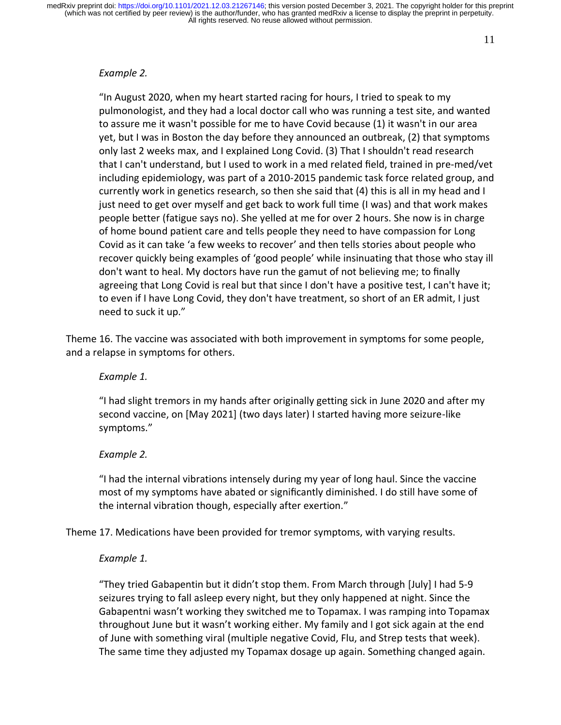#### *Example 2.*

"In August 2020, when my heart started racing for hours, I tried to speak to my pulmonologist, and they had a local doctor call who was running a test site, and wanted to assure me it wasn't possible for me to have Covid because (1) it wasn't in our area yet, but I was in Boston the day before they announced an outbreak, (2) that symptoms only last 2 weeks max, and I explained Long Covid. (3) That I shouldn't read research that I can't understand, but I used to work in a med related field, trained in pre-med/vet including epidemiology, was part of a 2010-2015 pandemic task force related group, and currently work in genetics research, so then she said that (4) this is all in my head and I just need to get over myself and get back to work full time (I was) and that work makes people better (fatigue says no). She yelled at me for over 2 hours. She now is in charge of home bound patient care and tells people they need to have compassion for Long Covid as it can take 'a few weeks to recover' and then tells stories about people who recover quickly being examples of 'good people' while insinuating that those who stay ill don't want to heal. My doctors have run the gamut of not believing me; to finally agreeing that Long Covid is real but that since I don't have a positive test, I can't have it; to even if I have Long Covid, they don't have treatment, so short of an ER admit, I just need to suck it up."

Theme 16. The vaccine was associated with both improvement in symptoms for some people, and a relapse in symptoms for others.

#### *Example 1.*

"I had slight tremors in my hands after originally getting sick in June 2020 and after my second vaccine, on [May 2021] (two days later) I started having more seizure-like symptoms."

#### *Example 2.*

"I had the internal vibrations intensely during my year of long haul. Since the vaccine most of my symptoms have abated or significantly diminished. I do still have some of the internal vibration though, especially after exertion."

Theme 17. Medications have been provided for tremor symptoms, with varying results.

### *Example 1.*

"They tried Gabapentin but it didn't stop them. From March through [July] I had 5-9 seizures trying to fall asleep every night, but they only happened at night. Since the Gabapentni wasn't working they switched me to Topamax. I was ramping into Topamax throughout June but it wasn't working either. My family and I got sick again at the end of June with something viral (multiple negative Covid, Flu, and Strep tests that week). The same time they adjusted my Topamax dosage up again. Something changed again.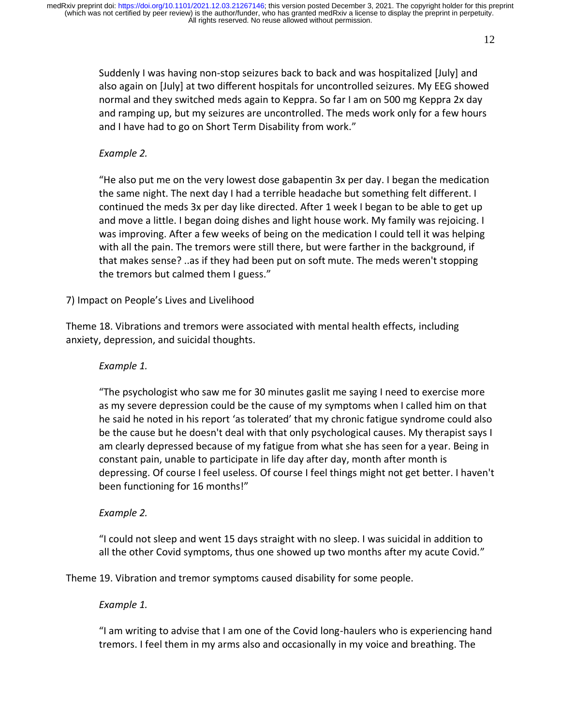Suddenly I was having non-stop seizures back to back and was hospitalized [July] and also again on [July] at two different hospitals for uncontrolled seizures. My EEG showed normal and they switched meds again to Keppra. So far I am on 500 mg Keppra 2x day and ramping up, but my seizures are uncontrolled. The meds work only for a few hours and I have had to go on Short Term Disability from work."

## *Example 2.*

"He also put me on the very lowest dose gabapentin 3x per day. I began the medication the same night. The next day I had a terrible headache but something felt different. I continued the meds 3x per day like directed. After 1 week I began to be able to get up and move a little. I began doing dishes and light house work. My family was rejoicing. I was improving. After a few weeks of being on the medication I could tell it was helping with all the pain. The tremors were still there, but were farther in the background, if that makes sense? ..as if they had been put on soft mute. The meds weren't stopping the tremors but calmed them I guess."

7) Impact on People's Lives and Livelihood

Theme 18. Vibrations and tremors were associated with mental health effects, including anxiety, depression, and suicidal thoughts.

## *Example 1.*

"The psychologist who saw me for 30 minutes gaslit me saying I need to exercise more as my severe depression could be the cause of my symptoms when I called him on that he said he noted in his report 'as tolerated' that my chronic fatigue syndrome could also be the cause but he doesn't deal with that only psychological causes. My therapist says I am clearly depressed because of my fatigue from what she has seen for a year. Being in constant pain, unable to participate in life day after day, month after month is depressing. Of course I feel useless. Of course I feel things might not get better. I haven't been functioning for 16 months!"

## *Example 2.*

"I could not sleep and went 15 days straight with no sleep. I was suicidal in addition to all the other Covid symptoms, thus one showed up two months after my acute Covid."

Theme 19. Vibration and tremor symptoms caused disability for some people.

### *Example 1.*

"I am writing to advise that I am one of the Covid long-haulers who is experiencing hand tremors. I feel them in my arms also and occasionally in my voice and breathing. The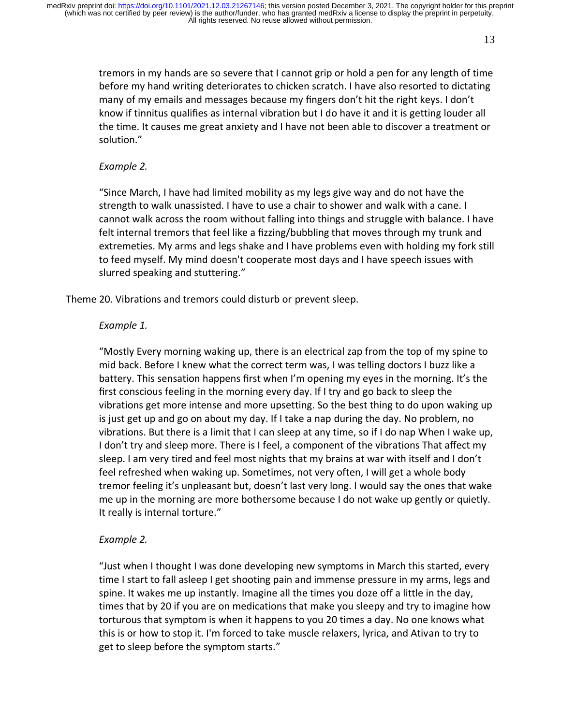tremors in my hands are so severe that I cannot grip or hold a pen for any length of time before my hand writing deteriorates to chicken scratch. I have also resorted to dictating many of my emails and messages because my fingers don't hit the right keys. I don't know if tinnitus qualifies as internal vibration but I do have it and it is getting louder all the time. It causes me great anxiety and I have not been able to discover a treatment or solution."

### *Example 2.*

"Since March, I have had limited mobility as my legs give way and do not have the strength to walk unassisted. I have to use a chair to shower and walk with a cane. I cannot walk across the room without falling into things and struggle with balance. I have felt internal tremors that feel like a fizzing/bubbling that moves through my trunk and extremeties. My arms and legs shake and I have problems even with holding my fork still to feed myself. My mind doesn't cooperate most days and I have speech issues with slurred speaking and stuttering."

Theme 20. Vibrations and tremors could disturb or prevent sleep.

### *Example 1.*

"Mostly Every morning waking up, there is an electrical zap from the top of my spine to mid back. Before I knew what the correct term was, I was telling doctors I buzz like a battery. This sensation happens first when I'm opening my eyes in the morning. It's the first conscious feeling in the morning every day. If I try and go back to sleep the vibrations get more intense and more upsetting. So the best thing to do upon waking up is just get up and go on about my day. If I take a nap during the day. No problem, no vibrations. But there is a limit that I can sleep at any time, so if I do nap When I wake up, I don't try and sleep more. There is I feel, a component of the vibrations That affect my sleep. I am very tired and feel most nights that my brains at war with itself and I don't feel refreshed when waking up. Sometimes, not very often, I will get a whole body tremor feeling it's unpleasant but, doesn't last very long. I would say the ones that wake me up in the morning are more bothersome because I do not wake up gently or quietly. It really is internal torture."

### *Example 2.*

"Just when I thought I was done developing new symptoms in March this started, every time I start to fall asleep I get shooting pain and immense pressure in my arms, legs and spine. It wakes me up instantly. Imagine all the times you doze off a little in the day, times that by 20 if you are on medications that make you sleepy and try to imagine how torturous that symptom is when it happens to you 20 times a day. No one knows what this is or how to stop it. I'm forced to take muscle relaxers, lyrica, and Ativan to try to get to sleep before the symptom starts."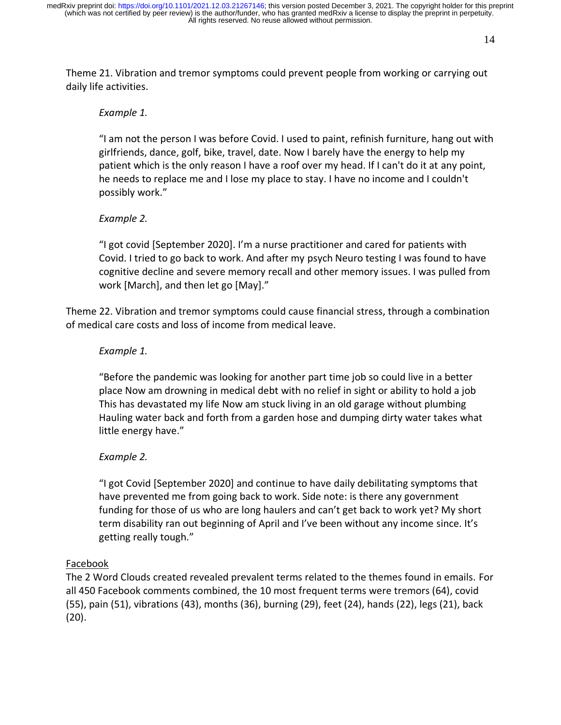14

Theme 21. Vibration and tremor symptoms could prevent people from working or carrying out daily life activities.

#### *Example 1.*

"I am not the person I was before Covid. I used to paint, refinish furniture, hang out with girlfriends, dance, golf, bike, travel, date. Now I barely have the energy to help my patient which is the only reason I have a roof over my head. If I can't do it at any point, he needs to replace me and I lose my place to stay. I have no income and I couldn't possibly work."

### *Example 2.*

"I got covid [September 2020]. I'm a nurse practitioner and cared for patients with Covid. I tried to go back to work. And after my psych Neuro testing I was found to have cognitive decline and severe memory recall and other memory issues. I was pulled from work [March], and then let go [May]."

Theme 22. Vibration and tremor symptoms could cause financial stress, through a combination of medical care costs and loss of income from medical leave.

#### *Example 1.*

"Before the pandemic was looking for another part time job so could live in a better place Now am drowning in medical debt with no relief in sight or ability to hold a job This has devastated my life Now am stuck living in an old garage without plumbing Hauling water back and forth from a garden hose and dumping dirty water takes what little energy have."

### *Example 2.*

"I got Covid [September 2020] and continue to have daily debilitating symptoms that have prevented me from going back to work. Side note: is there any government funding for those of us who are long haulers and can't get back to work yet? My short term disability ran out beginning of April and I've been without any income since. It's getting really tough."

### Facebook

The 2 Word Clouds created revealed prevalent terms related to the themes found in emails. For all 450 Facebook comments combined, the 10 most frequent terms were tremors (64), covid (55), pain (51), vibrations (43), months (36), burning (29), feet (24), hands (22), legs (21), back (20).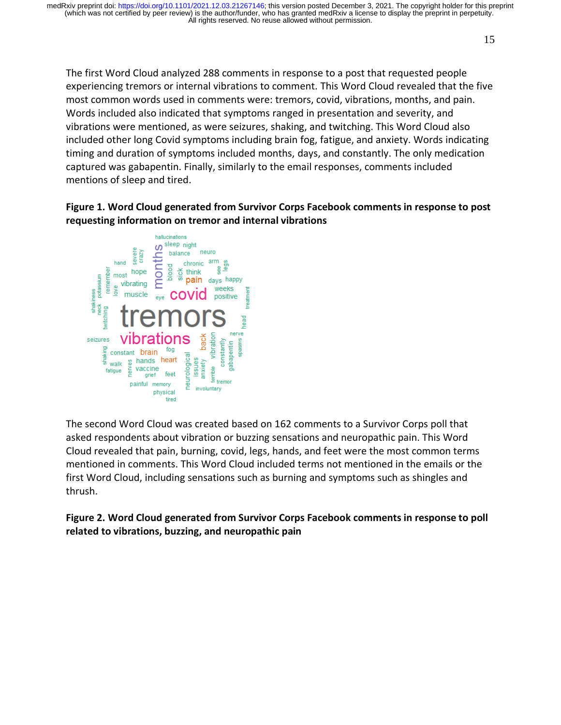The first Word Cloud analyzed 288 comments in response to a post that requested people experiencing tremors or internal vibrations to comment. This Word Cloud revealed that the five most common words used in comments were: tremors, covid, vibrations, months, and pain. Words included also indicated that symptoms ranged in presentation and severity, and vibrations were mentioned, as were seizures, shaking, and twitching. This Word Cloud also included other long Covid symptoms including brain fog, fatigue, and anxiety. Words indicating timing and duration of symptoms included months, days, and constantly. The only medication captured was gabapentin. Finally, similarly to the email responses, comments included mentions of sleep and tired.

### **Figure 1. Word Cloud generated from Survivor Corps Facebook comments in response to post requesting information on tremor and internal vibrations**



The second Word Cloud was created based on 162 comments to a Survivor Corps poll that asked respondents about vibration or buzzing sensations and neuropathic pain. This Word Cloud revealed that pain, burning, covid, legs, hands, and feet were the most common terms mentioned in comments. This Word Cloud included terms not mentioned in the emails or the first Word Cloud, including sensations such as burning and symptoms such as shingles and thrush.

**Figure 2. Word Cloud generated from Survivor Corps Facebook comments in response to poll related to vibrations, buzzing, and neuropathic pain**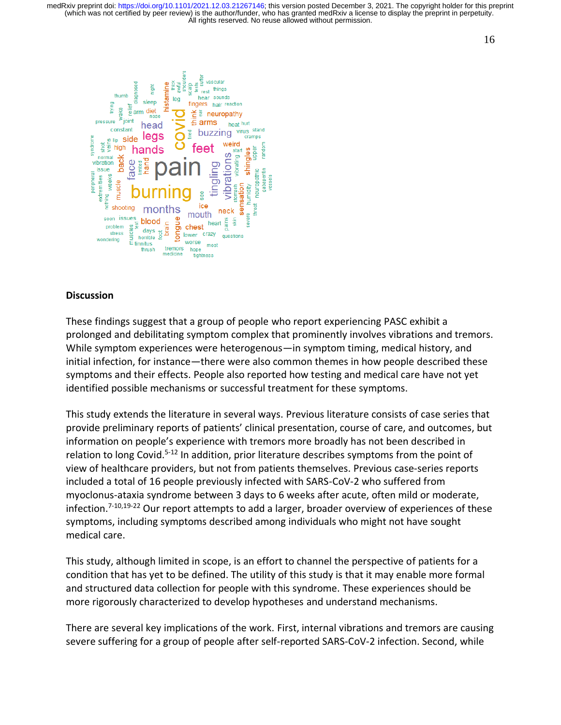

#### **Discussion**

These findings suggest that a group of people who report experiencing PASC exhibit a prolonged and debilitating symptom complex that prominently involves vibrations and tremors. While symptom experiences were heterogenous—in symptom timing, medical history, and initial infection, for instance—there were also common themes in how people described these symptoms and their effects. People also reported how testing and medical care have not yet identified possible mechanisms or successful treatment for these symptoms.

This study extends the literature in several ways. Previous literature consists of case series that provide preliminary reports of patients' clinical presentation, course of care, and outcomes, but information on people's experience with tremors more broadly has not been described in relation to long Covid.<sup>5-12</sup> In addition, prior literature describes symptoms from the point of view of healthcare providers, but not from patients themselves. Previous case-series reports included a total of 16 people previously infected with SARS-CoV-2 who suffered from myoclonus-ataxia syndrome between 3 days to 6 weeks after acute, often mild or moderate, infection.<sup>7-10,19-22</sup> Our report attempts to add a larger, broader overview of experiences of these symptoms, including symptoms described among individuals who might not have sought medical care.

This study, although limited in scope, is an effort to channel the perspective of patients for a condition that has yet to be defined. The utility of this study is that it may enable more formal and structured data collection for people with this syndrome. These experiences should be more rigorously characterized to develop hypotheses and understand mechanisms.

There are several key implications of the work. First, internal vibrations and tremors are causing severe suffering for a group of people after self-reported SARS-CoV-2 infection. Second, while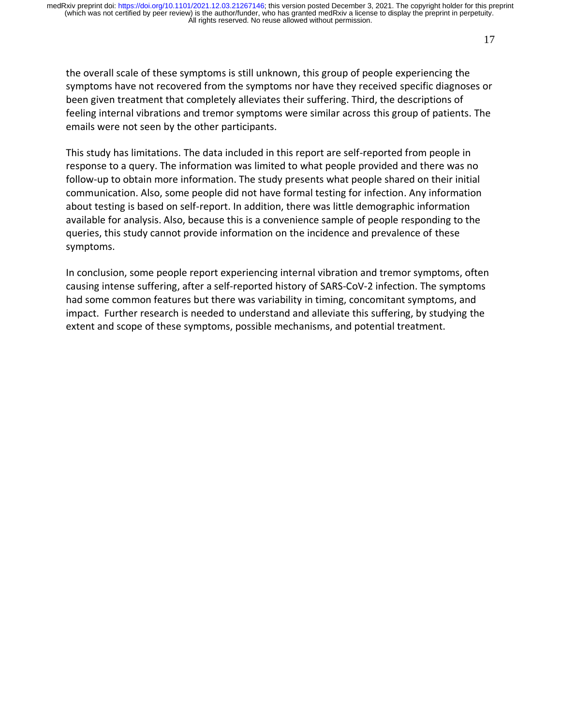the overall scale of these symptoms is still unknown, this group of people experiencing the symptoms have not recovered from the symptoms nor have they received specific diagnoses or been given treatment that completely alleviates their suffering. Third, the descriptions of feeling internal vibrations and tremor symptoms were similar across this group of patients. The emails were not seen by the other participants.

This study has limitations. The data included in this report are self-reported from people in response to a query. The information was limited to what people provided and there was no follow-up to obtain more information. The study presents what people shared on their initial communication. Also, some people did not have formal testing for infection. Any information about testing is based on self-report. In addition, there was little demographic information available for analysis. Also, because this is a convenience sample of people responding to the queries, this study cannot provide information on the incidence and prevalence of these symptoms.

In conclusion, some people report experiencing internal vibration and tremor symptoms, often causing intense suffering, after a self-reported history of SARS-CoV-2 infection. The symptoms had some common features but there was variability in timing, concomitant symptoms, and impact. Further research is needed to understand and alleviate this suffering, by studying the extent and scope of these symptoms, possible mechanisms, and potential treatment.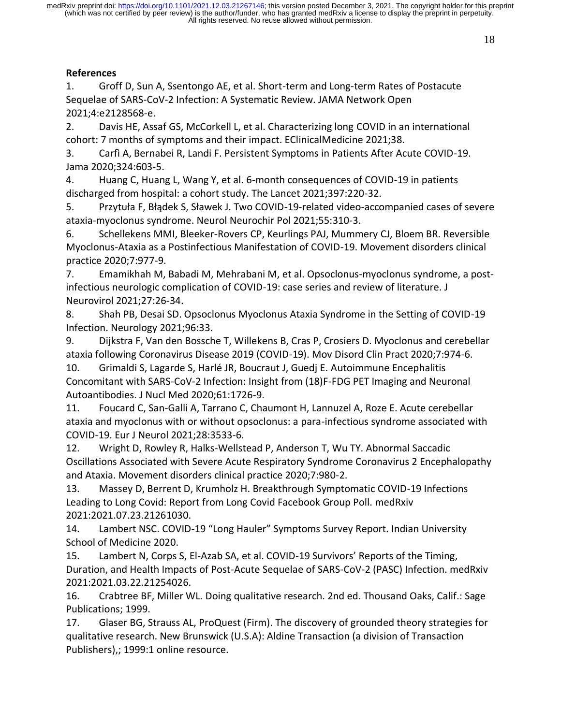# **References**

1. Groff D, Sun A, Ssentongo AE, et al. Short-term and Long-term Rates of Postacute Sequelae of SARS-CoV-2 Infection: A Systematic Review. JAMA Network Open 2021;4:e2128568-e.

2. Davis HE, Assaf GS, McCorkell L, et al. Characterizing long COVID in an international cohort: 7 months of symptoms and their impact. EClinicalMedicine 2021;38.

3. Carfì A, Bernabei R, Landi F. Persistent Symptoms in Patients After Acute COVID-19. Jama 2020;324:603-5.

4. Huang C, Huang L, Wang Y, et al. 6-month consequences of COVID-19 in patients discharged from hospital: a cohort study. The Lancet 2021;397:220-32.

5. Przytuła F, Błądek S, Sławek J. Two COVID-19-related video-accompanied cases of severe ataxia-myoclonus syndrome. Neurol Neurochir Pol 2021;55:310-3.

6. Schellekens MMI, Bleeker-Rovers CP, Keurlings PAJ, Mummery CJ, Bloem BR. Reversible Myoclonus-Ataxia as a Postinfectious Manifestation of COVID-19. Movement disorders clinical practice 2020;7:977-9.

7. Emamikhah M, Babadi M, Mehrabani M, et al. Opsoclonus-myoclonus syndrome, a postinfectious neurologic complication of COVID-19: case series and review of literature. J Neurovirol 2021;27:26-34.

8. Shah PB, Desai SD. Opsoclonus Myoclonus Ataxia Syndrome in the Setting of COVID-19 Infection. Neurology 2021;96:33.

9. Dijkstra F, Van den Bossche T, Willekens B, Cras P, Crosiers D. Myoclonus and cerebellar ataxia following Coronavirus Disease 2019 (COVID-19). Mov Disord Clin Pract 2020;7:974-6.

10. Grimaldi S, Lagarde S, Harlé JR, Boucraut J, Guedj E. Autoimmune Encephalitis Concomitant with SARS-CoV-2 Infection: Insight from (18)F-FDG PET Imaging and Neuronal Autoantibodies. J Nucl Med 2020;61:1726-9.

11. Foucard C, San-Galli A, Tarrano C, Chaumont H, Lannuzel A, Roze E. Acute cerebellar ataxia and myoclonus with or without opsoclonus: a para-infectious syndrome associated with COVID-19. Eur J Neurol 2021;28:3533-6.

12. Wright D, Rowley R, Halks-Wellstead P, Anderson T, Wu TY. Abnormal Saccadic Oscillations Associated with Severe Acute Respiratory Syndrome Coronavirus 2 Encephalopathy and Ataxia. Movement disorders clinical practice 2020;7:980-2.

13. Massey D, Berrent D, Krumholz H. Breakthrough Symptomatic COVID-19 Infections Leading to Long Covid: Report from Long Covid Facebook Group Poll. medRxiv 2021:2021.07.23.21261030.

14. Lambert NSC. COVID-19 "Long Hauler" Symptoms Survey Report. Indian University School of Medicine 2020.

15. Lambert N, Corps S, El-Azab SA, et al. COVID-19 Survivors' Reports of the Timing, Duration, and Health Impacts of Post-Acute Sequelae of SARS-CoV-2 (PASC) Infection. medRxiv 2021:2021.03.22.21254026.

16. Crabtree BF, Miller WL. Doing qualitative research. 2nd ed. Thousand Oaks, Calif.: Sage Publications; 1999.

17. Glaser BG, Strauss AL, ProQuest (Firm). The discovery of grounded theory strategies for qualitative research. New Brunswick (U.S.A): Aldine Transaction (a division of Transaction Publishers),; 1999:1 online resource.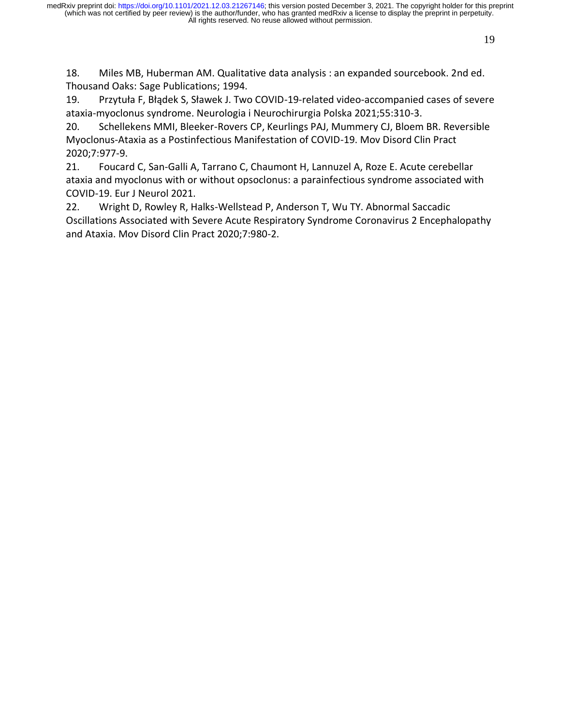18. Miles MB, Huberman AM. Qualitative data analysis : an expanded sourcebook. 2nd ed. Thousand Oaks: Sage Publications; 1994.

19. Przytuła F, Błądek S, Sławek J. Two COVID-19-related video-accompanied cases of severe ataxia-myoclonus syndrome. Neurologia i Neurochirurgia Polska 2021;55:310-3.

20. Schellekens MMI, Bleeker-Rovers CP, Keurlings PAJ, Mummery CJ, Bloem BR. Reversible Myoclonus-Ataxia as a Postinfectious Manifestation of COVID-19. Mov Disord Clin Pract 2020;7:977-9.

21. Foucard C, San-Galli A, Tarrano C, Chaumont H, Lannuzel A, Roze E. Acute cerebellar ataxia and myoclonus with or without opsoclonus: a parainfectious syndrome associated with COVID-19. Eur J Neurol 2021.

22. Wright D, Rowley R, Halks-Wellstead P, Anderson T, Wu TY. Abnormal Saccadic Oscillations Associated with Severe Acute Respiratory Syndrome Coronavirus 2 Encephalopathy and Ataxia. Mov Disord Clin Pract 2020;7:980-2.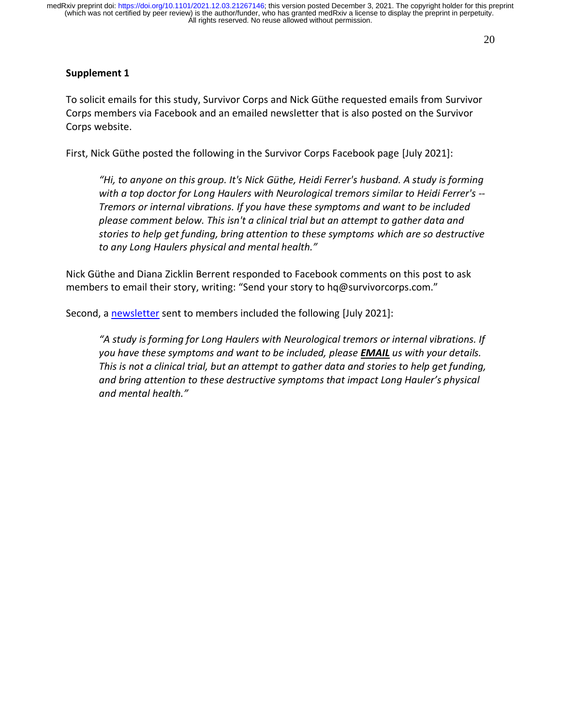# **Supplement 1**

To solicit emails for this study, Survivor Corps and Nick Güthe requested emails from Survivor Corps members via Facebook and an emailed newsletter that is also posted on the Survivor Corps website.

First, Nick Güthe posted the following in the Survivor Corps Facebook page [July 2021]:

*"Hi, to anyone on this group. It's Nick Güthe, Heidi Ferrer's husband. A study is forming with a top doctor for Long Haulers with Neurological tremors similar to Heidi Ferrer's -- Tremors or internal vibrations. If you have these symptoms and want to be included please comment below. This isn't a clinical trial but an attempt to gather data and stories to help get funding, bring attention to these symptoms which are so destructive to any Long Haulers physical and mental health."*

Nick Güthe and Diana Zicklin Berrent responded to Facebook comments on this post to ask members to email their story, writing: "Send your story to hq@survivorcorps.com."

Second, a [newsletter](https://www.survivorcorps.com/campaigns/view-email/TIjHUgjAqMkzl_ysDA1TxJ-ibR26k4ZxjHZuKDBWbZnOFTropXKSoWG_0gHckvaFWswErkFnrlfQOpV7QwhnNu5FTdqqU1XdsfrpTb0GY0DAJh3xOLy8HAXIHli0aGkGPw==?ss_campaign_id=603a37d5408c2025bb9f4f81&ss_campaign_name=July%20Events%20%26%20Headlines&ss_campaign_sent_date=2021-07-22T20%3A22%3A08Z&ss_email_id=60f9d35e8d91aa58334784de&ss_source=sscampaigns) sent to members included the following [July 2021]:

*"A study is forming for Long Haulers with Neurological tremors or internal vibrations. If you have these symptoms and want to be included, please EMAIL us with your details. This is not a clinical trial, but an attempt to gather data and stories to help get funding, and bring attention to these destructive symptoms that impact Long Hauler's physical and mental health."*